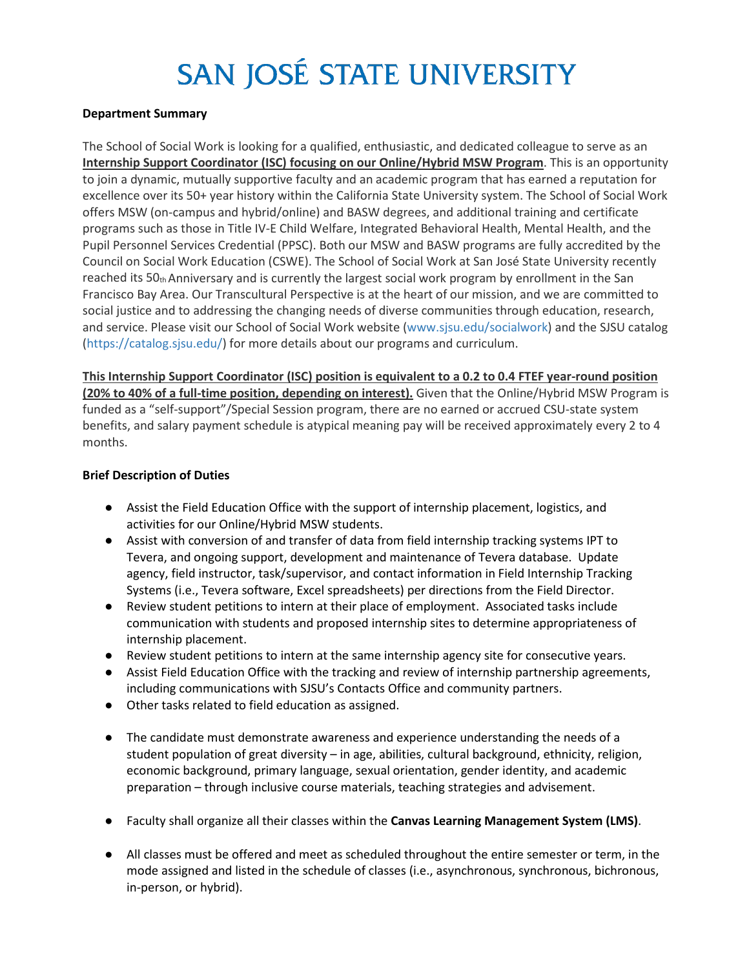# SAN JOSÉ STATE UNIVERSITY

#### **Department Summary**

The School of Social Work is looking for a qualified, enthusiastic, and dedicated colleague to serve as an **Internship Support Coordinator (ISC) focusing on our Online/Hybrid MSW Program**. This is an opportunity to join a dynamic, mutually supportive faculty and an academic program that has earned a reputation for excellence over its 50+ year history within the California State University system. The School of Social Work offers MSW (on-campus and hybrid/online) and BASW degrees, and additional training and certificate programs such as those in Title IV-E Child Welfare, Integrated Behavioral Health, Mental Health, and the Pupil Personnel Services Credential (PPSC). Both our MSW and BASW programs are fully accredited by the Council on Social Work Education (CSWE). The School of Social Work at San José State University recently reached its 50th Anniversary and is currently the largest social work program by enrollment in the San Francisco Bay Area. Our Transcultural Perspective is at the heart of our mission, and we are committed to social justice and to addressing the changing needs of diverse communities through education, research, and service. Please visit our School of Social Work website (www.sjsu.edu/socialwork) and the SJSU catalog (https://catalog.sjsu.edu/) for more details about our programs and curriculum.

**This Internship Support Coordinator (ISC) position is equivalent to a 0.2 to 0.4 FTEF year-round position (20% to 40% of a full-time position, depending on interest).** Given that the Online/Hybrid MSW Program is funded as a "self-support"/Special Session program, there are no earned or accrued CSU-state system benefits, and salary payment schedule is atypical meaning pay will be received approximately every 2 to 4 months.

## **Brief Description of Duties**

- Assist the Field Education Office with the support of internship placement, logistics, and activities for our Online/Hybrid MSW students.
- Assist with conversion of and transfer of data from field internship tracking systems IPT to Tevera, and ongoing support, development and maintenance of Tevera database. Update agency, field instructor, task/supervisor, and contact information in Field Internship Tracking Systems (i.e., Tevera software, Excel spreadsheets) per directions from the Field Director.
- Review student petitions to intern at their place of employment. Associated tasks include communication with students and proposed internship sites to determine appropriateness of internship placement.
- Review student petitions to intern at the same internship agency site for consecutive years.
- Assist Field Education Office with the tracking and review of internship partnership agreements, including communications with SJSU's Contacts Office and community partners.
- Other tasks related to field education as assigned.
- The candidate must demonstrate awareness and experience understanding the needs of a student population of great diversity – in age, abilities, cultural background, ethnicity, religion, economic background, primary language, sexual orientation, gender identity, and academic preparation – through inclusive course materials, teaching strategies and advisement.
- Faculty shall organize all their classes within the **Canvas Learning Management System (LMS)**.
- All classes must be offered and meet as scheduled throughout the entire semester or term, in the mode assigned and listed in the schedule of classes (i.e., asynchronous, synchronous, bichronous, in-person, or hybrid).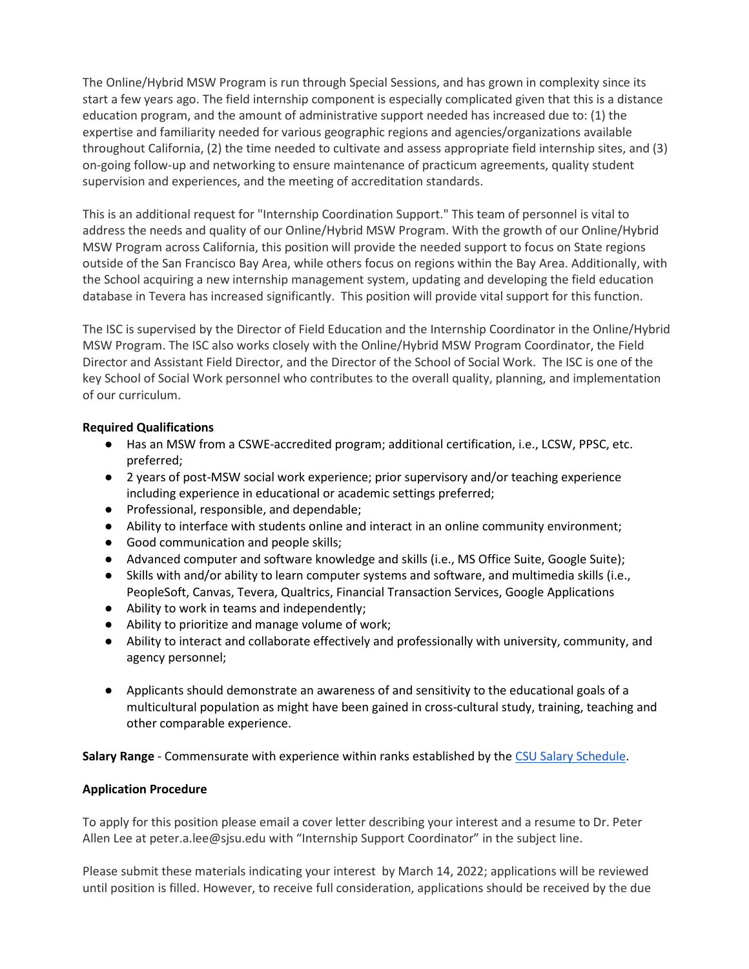The Online/Hybrid MSW Program is run through Special Sessions, and has grown in complexity since its start a few years ago. The field internship component is especially complicated given that this is a distance education program, and the amount of administrative support needed has increased due to: (1) the expertise and familiarity needed for various geographic regions and agencies/organizations available throughout California, (2) the time needed to cultivate and assess appropriate field internship sites, and (3) on-going follow-up and networking to ensure maintenance of practicum agreements, quality student supervision and experiences, and the meeting of accreditation standards.

This is an additional request for "Internship Coordination Support." This team of personnel is vital to address the needs and quality of our Online/Hybrid MSW Program. With the growth of our Online/Hybrid MSW Program across California, this position will provide the needed support to focus on State regions outside of the San Francisco Bay Area, while others focus on regions within the Bay Area. Additionally, with the School acquiring a new internship management system, updating and developing the field education database in Tevera has increased significantly. This position will provide vital support for this function.

The ISC is supervised by the Director of Field Education and the Internship Coordinator in the Online/Hybrid MSW Program. The ISC also works closely with the Online/Hybrid MSW Program Coordinator, the Field Director and Assistant Field Director, and the Director of the School of Social Work. The ISC is one of the key School of Social Work personnel who contributes to the overall quality, planning, and implementation of our curriculum.

## **Required Qualifications**

- Has an MSW from a CSWE-accredited program; additional certification, i.e., LCSW, PPSC, etc. preferred;
- 2 years of post-MSW social work experience; prior supervisory and/or teaching experience including experience in educational or academic settings preferred;
- Professional, responsible, and dependable;
- Ability to interface with students online and interact in an online community environment;
- Good communication and people skills;
- Advanced computer and software knowledge and skills (i.e., MS Office Suite, Google Suite);
- Skills with and/or ability to learn computer systems and software, and multimedia skills (i.e., PeopleSoft, Canvas, Tevera, Qualtrics, Financial Transaction Services, Google Applications
- Ability to work in teams and independently;
- Ability to prioritize and manage volume of work;
- Ability to interact and collaborate effectively and professionally with university, community, and agency personnel;
- Applicants should demonstrate an awareness of and sensitivity to the educational goals of a multicultural population as might have been gained in cross-cultural study, training, teaching and other comparable experience.

**Salary Range** - Commensurate with experience within ranks established by the [CSU Salary Schedule.](https://www2.calstate.edu/csu-system/careers/compensation/Pages/salary-schedule.aspx)

## **Application Procedure**

To apply for this position please email a cover letter describing your interest and a resume to Dr. Peter Allen Lee at [peter.a.lee@sjsu.edu w](mailto:peter.a.lee@sjsu.edu)ith "Internship Support Coordinator" in the subject line.

Please submit these materials indicating your interest by March 14, 2022; applications will be reviewed until position is filled. However, to receive full consideration, applications should be received by the due